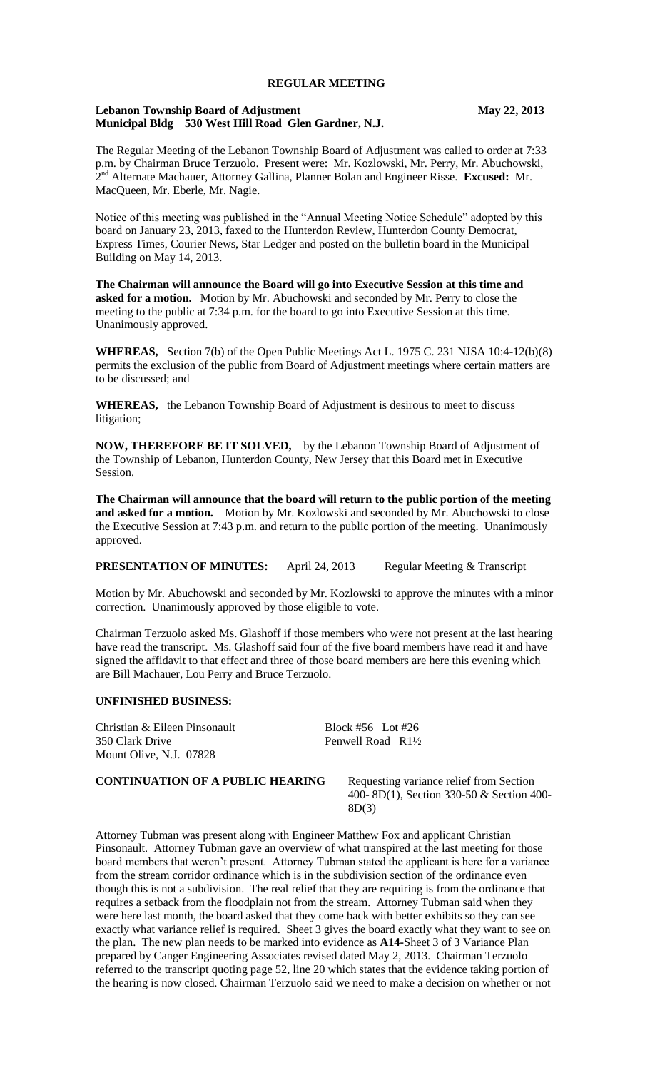### **REGULAR MEETING**

### **Lebanon Township Board of Adjustment May 22, 2013 Municipal Bldg 530 West Hill Road Glen Gardner, N.J.**

The Regular Meeting of the Lebanon Township Board of Adjustment was called to order at 7:33 p.m. by Chairman Bruce Terzuolo. Present were: Mr. Kozlowski, Mr. Perry, Mr. Abuchowski, 2 nd Alternate Machauer, Attorney Gallina, Planner Bolan and Engineer Risse. **Excused:** Mr. MacQueen, Mr. Eberle, Mr. Nagie.

Notice of this meeting was published in the "Annual Meeting Notice Schedule" adopted by this board on January 23, 2013, faxed to the Hunterdon Review, Hunterdon County Democrat, Express Times, Courier News, Star Ledger and posted on the bulletin board in the Municipal Building on May 14, 2013.

**The Chairman will announce the Board will go into Executive Session at this time and asked for a motion.** Motion by Mr. Abuchowski and seconded by Mr. Perry to close the meeting to the public at 7:34 p.m. for the board to go into Executive Session at this time. Unanimously approved.

**WHEREAS,** Section 7(b) of the Open Public Meetings Act L. 1975 C. 231 NJSA 10:4-12(b)(8) permits the exclusion of the public from Board of Adjustment meetings where certain matters are to be discussed; and

**WHEREAS,** the Lebanon Township Board of Adjustment is desirous to meet to discuss litigation;

**NOW, THEREFORE BE IT SOLVED,** by the Lebanon Township Board of Adjustment of the Township of Lebanon, Hunterdon County, New Jersey that this Board met in Executive Session.

**The Chairman will announce that the board will return to the public portion of the meeting and asked for a motion.** Motion by Mr. Kozlowski and seconded by Mr. Abuchowski to close the Executive Session at 7:43 p.m. and return to the public portion of the meeting. Unanimously approved.

**PRESENTATION OF MINUTES:** April 24, 2013 Regular Meeting & Transcript

Motion by Mr. Abuchowski and seconded by Mr. Kozlowski to approve the minutes with a minor correction. Unanimously approved by those eligible to vote.

Chairman Terzuolo asked Ms. Glashoff if those members who were not present at the last hearing have read the transcript. Ms. Glashoff said four of the five board members have read it and have signed the affidavit to that effect and three of those board members are here this evening which are Bill Machauer, Lou Perry and Bruce Terzuolo.

#### **UNFINISHED BUSINESS:**

Christian & Eileen Pinsonault Block #56 Lot #26 350 Clark Drive Penwell Road R1<sup>1</sup>/<sub>2</sub> Mount Olive, N.J. 07828

**CONTINUATION OF A PUBLIC HEARING** Requesting variance relief from Section

400- 8D(1), Section 330-50 & Section 400- 8D(3)

Attorney Tubman was present along with Engineer Matthew Fox and applicant Christian Pinsonault. Attorney Tubman gave an overview of what transpired at the last meeting for those board members that weren't present. Attorney Tubman stated the applicant is here for a variance from the stream corridor ordinance which is in the subdivision section of the ordinance even though this is not a subdivision. The real relief that they are requiring is from the ordinance that requires a setback from the floodplain not from the stream. Attorney Tubman said when they were here last month, the board asked that they come back with better exhibits so they can see exactly what variance relief is required. Sheet 3 gives the board exactly what they want to see on the plan. The new plan needs to be marked into evidence as **A14-**Sheet 3 of 3 Variance Plan prepared by Canger Engineering Associates revised dated May 2, 2013. Chairman Terzuolo referred to the transcript quoting page 52, line 20 which states that the evidence taking portion of the hearing is now closed. Chairman Terzuolo said we need to make a decision on whether or not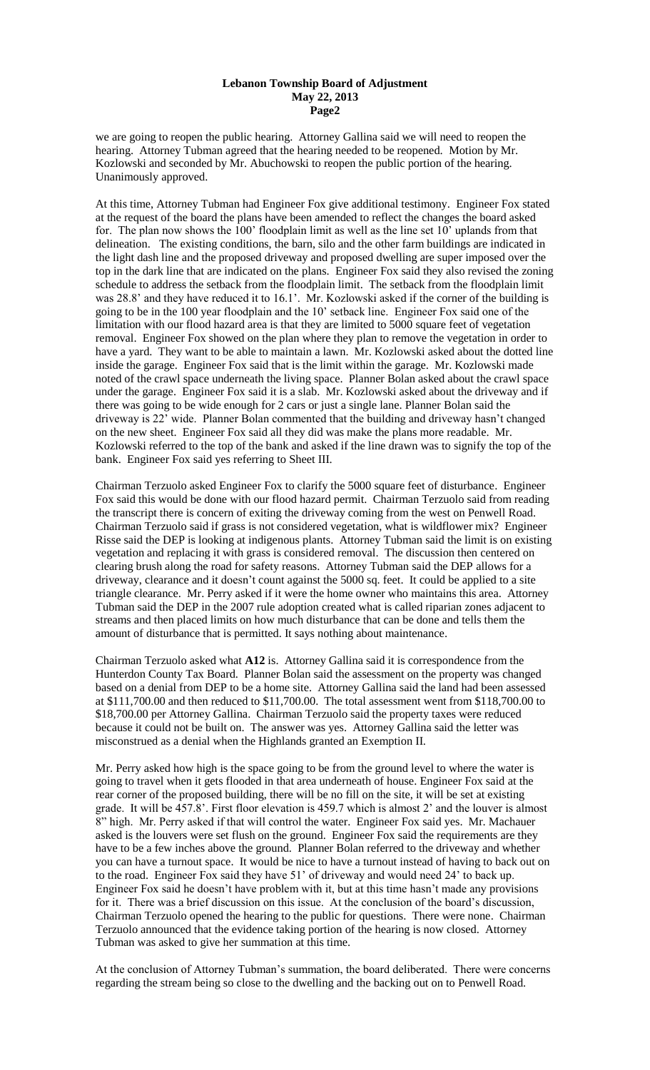#### **Lebanon Township Board of Adjustment May 22, 2013 Page2**

we are going to reopen the public hearing. Attorney Gallina said we will need to reopen the hearing. Attorney Tubman agreed that the hearing needed to be reopened. Motion by Mr. Kozlowski and seconded by Mr. Abuchowski to reopen the public portion of the hearing. Unanimously approved.

At this time, Attorney Tubman had Engineer Fox give additional testimony. Engineer Fox stated at the request of the board the plans have been amended to reflect the changes the board asked for. The plan now shows the 100' floodplain limit as well as the line set 10' uplands from that delineation. The existing conditions, the barn, silo and the other farm buildings are indicated in the light dash line and the proposed driveway and proposed dwelling are super imposed over the top in the dark line that are indicated on the plans. Engineer Fox said they also revised the zoning schedule to address the setback from the floodplain limit. The setback from the floodplain limit was 28.8' and they have reduced it to 16.1'. Mr. Kozlowski asked if the corner of the building is going to be in the 100 year floodplain and the 10' setback line. Engineer Fox said one of the limitation with our flood hazard area is that they are limited to 5000 square feet of vegetation removal. Engineer Fox showed on the plan where they plan to remove the vegetation in order to have a yard. They want to be able to maintain a lawn. Mr. Kozlowski asked about the dotted line inside the garage. Engineer Fox said that is the limit within the garage. Mr. Kozlowski made noted of the crawl space underneath the living space. Planner Bolan asked about the crawl space under the garage. Engineer Fox said it is a slab. Mr. Kozlowski asked about the driveway and if there was going to be wide enough for 2 cars or just a single lane. Planner Bolan said the driveway is 22' wide. Planner Bolan commented that the building and driveway hasn't changed on the new sheet. Engineer Fox said all they did was make the plans more readable. Mr. Kozlowski referred to the top of the bank and asked if the line drawn was to signify the top of the bank. Engineer Fox said yes referring to Sheet III.

Chairman Terzuolo asked Engineer Fox to clarify the 5000 square feet of disturbance. Engineer Fox said this would be done with our flood hazard permit. Chairman Terzuolo said from reading the transcript there is concern of exiting the driveway coming from the west on Penwell Road. Chairman Terzuolo said if grass is not considered vegetation, what is wildflower mix? Engineer Risse said the DEP is looking at indigenous plants. Attorney Tubman said the limit is on existing vegetation and replacing it with grass is considered removal. The discussion then centered on clearing brush along the road for safety reasons. Attorney Tubman said the DEP allows for a driveway, clearance and it doesn't count against the 5000 sq. feet. It could be applied to a site triangle clearance. Mr. Perry asked if it were the home owner who maintains this area. Attorney Tubman said the DEP in the 2007 rule adoption created what is called riparian zones adjacent to streams and then placed limits on how much disturbance that can be done and tells them the amount of disturbance that is permitted. It says nothing about maintenance.

Chairman Terzuolo asked what **A12** is. Attorney Gallina said it is correspondence from the Hunterdon County Tax Board. Planner Bolan said the assessment on the property was changed based on a denial from DEP to be a home site. Attorney Gallina said the land had been assessed at \$111,700.00 and then reduced to \$11,700.00. The total assessment went from \$118,700.00 to \$18,700.00 per Attorney Gallina. Chairman Terzuolo said the property taxes were reduced because it could not be built on. The answer was yes. Attorney Gallina said the letter was misconstrued as a denial when the Highlands granted an Exemption II.

Mr. Perry asked how high is the space going to be from the ground level to where the water is going to travel when it gets flooded in that area underneath of house. Engineer Fox said at the rear corner of the proposed building, there will be no fill on the site, it will be set at existing grade. It will be 457.8'. First floor elevation is 459.7 which is almost 2' and the louver is almost 8" high. Mr. Perry asked if that will control the water. Engineer Fox said yes. Mr. Machauer asked is the louvers were set flush on the ground. Engineer Fox said the requirements are they have to be a few inches above the ground. Planner Bolan referred to the driveway and whether you can have a turnout space. It would be nice to have a turnout instead of having to back out on to the road. Engineer Fox said they have 51' of driveway and would need 24' to back up. Engineer Fox said he doesn't have problem with it, but at this time hasn't made any provisions for it. There was a brief discussion on this issue. At the conclusion of the board's discussion, Chairman Terzuolo opened the hearing to the public for questions. There were none. Chairman Terzuolo announced that the evidence taking portion of the hearing is now closed. Attorney Tubman was asked to give her summation at this time.

At the conclusion of Attorney Tubman's summation, the board deliberated. There were concerns regarding the stream being so close to the dwelling and the backing out on to Penwell Road.